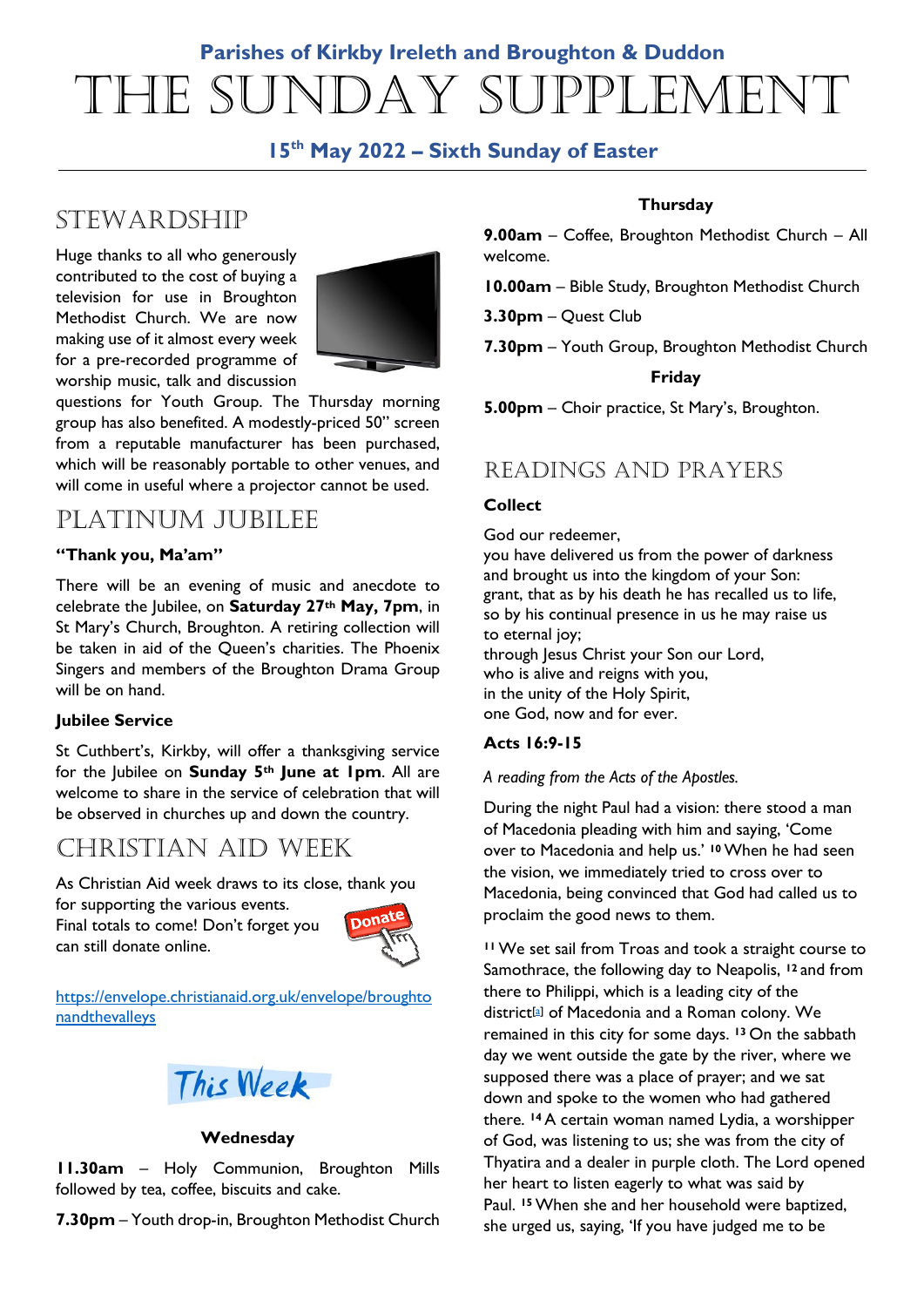# **Parishes of Kirkby Ireleth and Broughton & Duddon** The Sunday Supplement

### **15th May 2022 – Sixth Sunday of Easter**

# **STEWARDSHIP**

Huge thanks to all who generously contributed to the cost of buying a television for use in Broughton Methodist Church. We are now making use of it almost every week for a pre-recorded programme of worship music, talk and discussion



questions for Youth Group. The Thursday morning group has also benefited. A modestly-priced 50" screen from a reputable manufacturer has been purchased, which will be reasonably portable to other venues, and will come in useful where a projector cannot be used.

# PLATINUM JUBILEE

### **"Thank you, Ma'am"**

There will be an evening of music and anecdote to celebrate the Jubilee, on **Saturday 27th May, 7pm**, in St Mary's Church, Broughton. A retiring collection will be taken in aid of the Queen's charities. The Phoenix Singers and members of the Broughton Drama Group will be on hand.

### **Jubilee Service**

St Cuthbert's, Kirkby, will offer a thanksgiving service for the Jubilee on **Sunday 5th June at 1pm**. All are welcome to share in the service of celebration that will be observed in churches up and down the country.

# Christian Aid Week

As Christian Aid week draws to its close, thank you

for supporting the various events.

Final totals to come! Don't forget you can still donate online.



https://envelope.christianaid.org.uk/envelope/broughto nandthevalleys



### **Wednesday**

**11.30am** – Holy Communion, Broughton Mills followed by tea, coffee, biscuits and cake.

**7.30pm** – Youth drop-in, Broughton Methodist Church

### **Thursday**

**9.00am** – Coffee, Broughton Methodist Church – All welcome.

**10.00am** – Bible Study, Broughton Methodist Church

**3.30pm** – Quest Club

**7.30pm** – Youth Group, Broughton Methodist Church

### **Friday**

**5.00pm** – Choir practice, St Mary's, Broughton.

### READINGS AND PRAYERS

### **Collect**

#### God our redeemer,

you have delivered us from the power of darkness and brought us into the kingdom of your Son: grant, that as by his death he has recalled us to life, so by his continual presence in us he may raise us to eternal joy; through Jesus Christ your Son our Lord, who is alive and reigns with you,

in the unity of the Holy Spirit, one God, now and for ever.

### **Acts 16:9-15**

#### *A reading from the Acts of the Apostles.*

During the night Paul had a vision: there stood a man of Macedonia pleading with him and saying, 'Come over to Macedonia and help us.' **<sup>10</sup>**When he had seen the vision, we immediately tried to cross over to Macedonia, being convinced that God had called us to proclaim the good news to them.

**<sup>11</sup>**We set sail from Troas and took a straight course to Samothrace, the following day to Neapolis, **<sup>12</sup>** and from there to Philippi, which is a leading city of the district[a] of Macedonia and a Roman colony. We remained in this city for some days. **<sup>13</sup>** On the sabbath day we went outside the gate by the river, where we supposed there was a place of prayer; and we sat down and spoke to the women who had gathered there. **<sup>14</sup>** A certain woman named Lydia, a worshipper of God, was listening to us; she was from the city of Thyatira and a dealer in purple cloth. The Lord opened her heart to listen eagerly to what was said by Paul. **<sup>15</sup>**When she and her household were baptized, she urged us, saying, 'If you have judged me to be